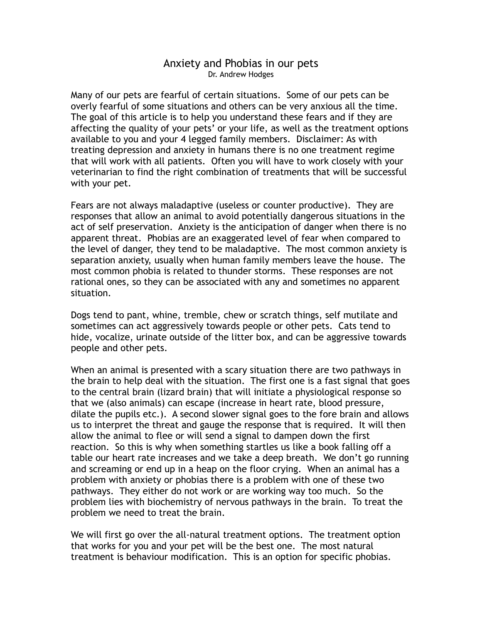## Anxiety and Phobias in our pets Dr. Andrew Hodges

Many of our pets are fearful of certain situations. Some of our pets can be overly fearful of some situations and others can be very anxious all the time. The goal of this article is to help you understand these fears and if they are affecting the quality of your pets' or your life, as well as the treatment options available to you and your 4 legged family members. Disclaimer: As with treating depression and anxiety in humans there is no one treatment regime that will work with all patients. Often you will have to work closely with your veterinarian to find the right combination of treatments that will be successful with your pet.

Fears are not always maladaptive (useless or counter productive). They are responses that allow an animal to avoid potentially dangerous situations in the act of self preservation. Anxiety is the anticipation of danger when there is no apparent threat. Phobias are an exaggerated level of fear when compared to the level of danger, they tend to be maladaptive. The most common anxiety is separation anxiety, usually when human family members leave the house. The most common phobia is related to thunder storms. These responses are not rational ones, so they can be associated with any and sometimes no apparent situation.

Dogs tend to pant, whine, tremble, chew or scratch things, self mutilate and sometimes can act aggressively towards people or other pets. Cats tend to hide, vocalize, urinate outside of the litter box, and can be aggressive towards people and other pets.

When an animal is presented with a scary situation there are two pathways in the brain to help deal with the situation. The first one is a fast signal that goes to the central brain (lizard brain) that will initiate a physiological response so that we (also animals) can escape (increase in heart rate, blood pressure, dilate the pupils etc.). A second slower signal goes to the fore brain and allows us to interpret the threat and gauge the response that is required. It will then allow the animal to flee or will send a signal to dampen down the first reaction. So this is why when something startles us like a book falling off a table our heart rate increases and we take a deep breath. We don't go running and screaming or end up in a heap on the floor crying. When an animal has a problem with anxiety or phobias there is a problem with one of these two pathways. They either do not work or are working way too much. So the problem lies with biochemistry of nervous pathways in the brain. To treat the problem we need to treat the brain.

We will first go over the all-natural treatment options. The treatment option that works for you and your pet will be the best one. The most natural treatment is behaviour modification. This is an option for specific phobias.